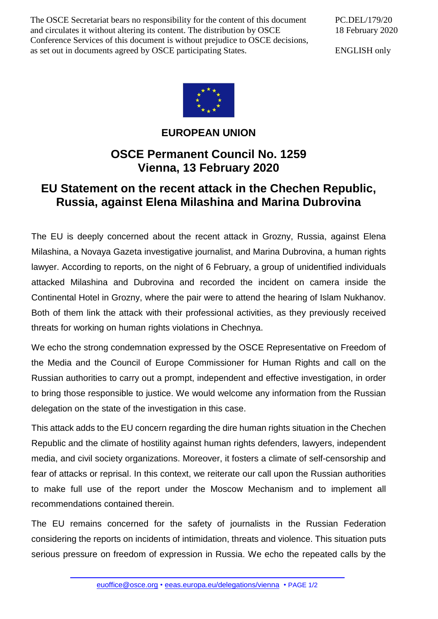The OSCE Secretariat bears no responsibility for the content of this document and circulates it without altering its content. The distribution by OSCE Conference Services of this document is without prejudice to OSCE decisions, as set out in documents agreed by OSCE participating States.

PC.DEL/179/20 18 February 2020

ENGLISH only



**EUROPEAN UNION**

## **OSCE Permanent Council No. 1259 Vienna, 13 February 2020**

## **EU Statement on the recent attack in the Chechen Republic, Russia, against Elena Milashina and Marina Dubrovina**

The EU is deeply concerned about the recent attack in Grozny, Russia, against Elena Milashina, a Novaya Gazeta investigative journalist, and Marina Dubrovina, a human rights lawyer. According to reports, on the night of 6 February, a group of unidentified individuals attacked Milashina and Dubrovina and recorded the incident on camera inside the Continental Hotel in Grozny, where the pair were to attend the hearing of Islam Nukhanov. Both of them link the attack with their professional activities, as they previously received threats for working on human rights violations in Chechnya.

We echo the strong condemnation expressed by the OSCE Representative on Freedom of the Media and the Council of Europe Commissioner for Human Rights and call on the Russian authorities to carry out a prompt, independent and effective investigation, in order to bring those responsible to justice. We would welcome any information from the Russian delegation on the state of the investigation in this case.

This attack adds to the EU concern regarding the dire human rights situation in the Chechen Republic and the climate of hostility against human rights defenders, lawyers, independent media, and civil society organizations. Moreover, it fosters a climate of self-censorship and fear of attacks or reprisal. In this context, we reiterate our call upon the Russian authorities to make full use of the report under the Moscow Mechanism and to implement all recommendations contained therein.

The EU remains concerned for the safety of journalists in the Russian Federation considering the reports on incidents of intimidation, threats and violence. This situation puts serious pressure on freedom of expression in Russia. We echo the repeated calls by the